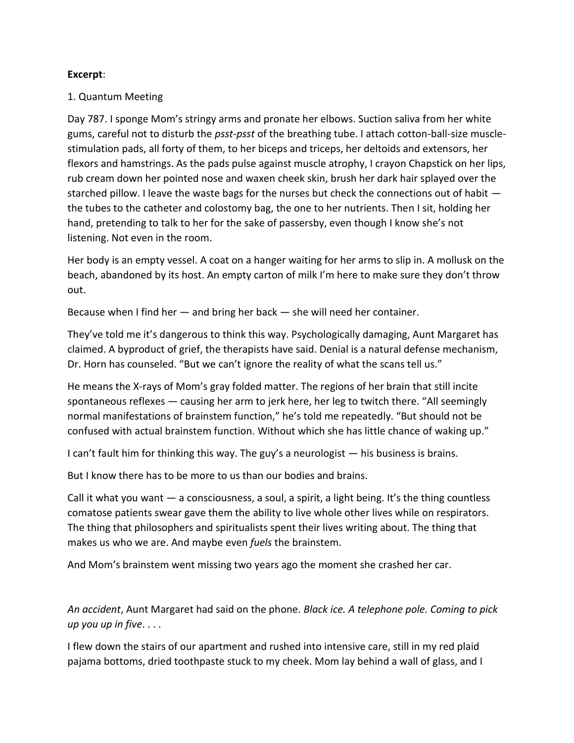## **Excerpt**:

## 1. Quantum Meeting

Day 787. I sponge Mom's stringy arms and pronate her elbows. Suction saliva from her white gums, careful not to disturb the *psst-psst* of the breathing tube. I attach cotton-ball-size musclestimulation pads, all forty of them, to her biceps and triceps, her deltoids and extensors, her flexors and hamstrings. As the pads pulse against muscle atrophy, I crayon Chapstick on her lips, rub cream down her pointed nose and waxen cheek skin, brush her dark hair splayed over the starched pillow. I leave the waste bags for the nurses but check the connections out of habit the tubes to the catheter and colostomy bag, the one to her nutrients. Then I sit, holding her hand, pretending to talk to her for the sake of passersby, even though I know she's not listening. Not even in the room.

Her body is an empty vessel. A coat on a hanger waiting for her arms to slip in. A mollusk on the beach, abandoned by its host. An empty carton of milk I'm here to make sure they don't throw out.

Because when I find her — and bring her back — she will need her container.

They've told me it's dangerous to think this way. Psychologically damaging, Aunt Margaret has claimed. A byproduct of grief, the therapists have said. Denial is a natural defense mechanism, Dr. Horn has counseled. "But we can't ignore the reality of what the scans tell us."

He means the X-rays of Mom's gray folded matter. The regions of her brain that still incite spontaneous reflexes — causing her arm to jerk here, her leg to twitch there. "All seemingly normal manifestations of brainstem function," he's told me repeatedly. "But should not be confused with actual brainstem function. Without which she has little chance of waking up."

I can't fault him for thinking this way. The guy's a neurologist — his business is brains.

But I know there has to be more to us than our bodies and brains.

Call it what you want  $-$  a consciousness, a soul, a spirit, a light being. It's the thing countless comatose patients swear gave them the ability to live whole other lives while on respirators. The thing that philosophers and spiritualists spent their lives writing about. The thing that makes us who we are. And maybe even *fuels* the brainstem.

And Mom's brainstem went missing two years ago the moment she crashed her car.

*An accident*, Aunt Margaret had said on the phone. *Black ice. A telephone pole. Coming to pick up you up in five*. . . .

I flew down the stairs of our apartment and rushed into intensive care, still in my red plaid pajama bottoms, dried toothpaste stuck to my cheek. Mom lay behind a wall of glass, and I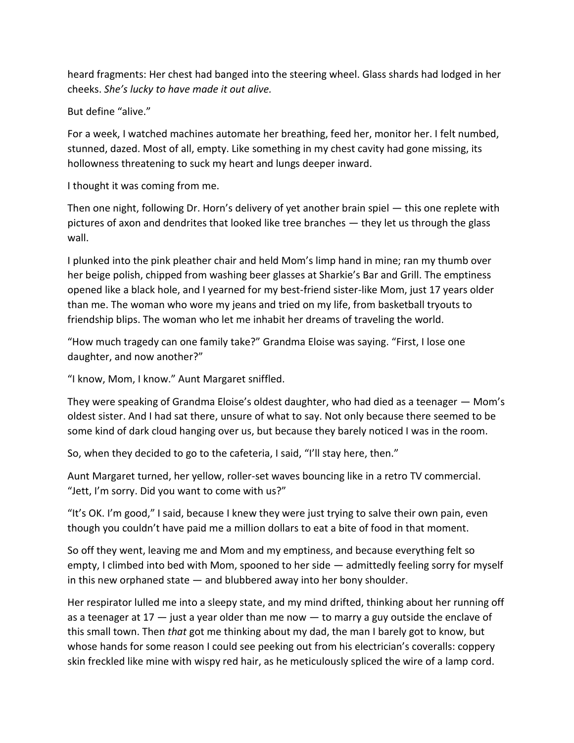heard fragments: Her chest had banged into the steering wheel. Glass shards had lodged in her cheeks. *She's lucky to have made it out alive.* 

But define "alive."

For a week, I watched machines automate her breathing, feed her, monitor her. I felt numbed, stunned, dazed. Most of all, empty. Like something in my chest cavity had gone missing, its hollowness threatening to suck my heart and lungs deeper inward.

I thought it was coming from me.

Then one night, following Dr. Horn's delivery of yet another brain spiel — this one replete with pictures of axon and dendrites that looked like tree branches — they let us through the glass wall.

I plunked into the pink pleather chair and held Mom's limp hand in mine; ran my thumb over her beige polish, chipped from washing beer glasses at Sharkie's Bar and Grill. The emptiness opened like a black hole, and I yearned for my best-friend sister-like Mom, just 17 years older than me. The woman who wore my jeans and tried on my life, from basketball tryouts to friendship blips. The woman who let me inhabit her dreams of traveling the world.

"How much tragedy can one family take?" Grandma Eloise was saying. "First, I lose one daughter, and now another?"

"I know, Mom, I know." Aunt Margaret sniffled.

They were speaking of Grandma Eloise's oldest daughter, who had died as a teenager — Mom's oldest sister. And I had sat there, unsure of what to say. Not only because there seemed to be some kind of dark cloud hanging over us, but because they barely noticed I was in the room.

So, when they decided to go to the cafeteria, I said, "I'll stay here, then."

Aunt Margaret turned, her yellow, roller-set waves bouncing like in a retro TV commercial. "Jett, I'm sorry. Did you want to come with us?"

"It's OK. I'm good," I said, because I knew they were just trying to salve their own pain, even though you couldn't have paid me a million dollars to eat a bite of food in that moment.

So off they went, leaving me and Mom and my emptiness, and because everything felt so empty, I climbed into bed with Mom, spooned to her side — admittedly feeling sorry for myself in this new orphaned state — and blubbered away into her bony shoulder.

Her respirator lulled me into a sleepy state, and my mind drifted, thinking about her running off as a teenager at  $17 -$  just a year older than me now  $-$  to marry a guy outside the enclave of this small town. Then *that* got me thinking about my dad, the man I barely got to know, but whose hands for some reason I could see peeking out from his electrician's coveralls: coppery skin freckled like mine with wispy red hair, as he meticulously spliced the wire of a lamp cord.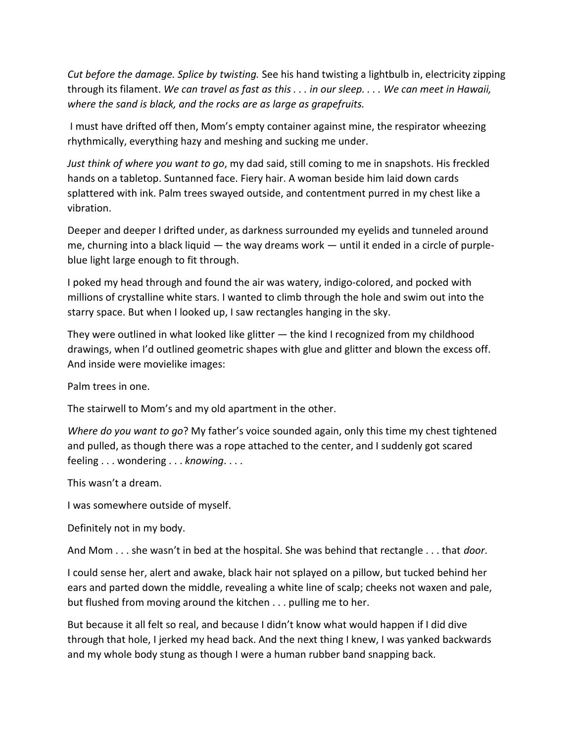*Cut before the damage. Splice by twisting.* See his hand twisting a lightbulb in, electricity zipping through its filament. *We can travel as fast as this . . . in our sleep. . . . We can meet in Hawaii, where the sand is black, and the rocks are as large as grapefruits.*

I must have drifted off then, Mom's empty container against mine, the respirator wheezing rhythmically, everything hazy and meshing and sucking me under.

*Just think of where you want to go*, my dad said, still coming to me in snapshots. His freckled hands on a tabletop. Suntanned face. Fiery hair. A woman beside him laid down cards splattered with ink. Palm trees swayed outside, and contentment purred in my chest like a vibration.

Deeper and deeper I drifted under, as darkness surrounded my eyelids and tunneled around me, churning into a black liquid — the way dreams work — until it ended in a circle of purpleblue light large enough to fit through.

I poked my head through and found the air was watery, indigo-colored, and pocked with millions of crystalline white stars. I wanted to climb through the hole and swim out into the starry space. But when I looked up, I saw rectangles hanging in the sky.

They were outlined in what looked like glitter — the kind I recognized from my childhood drawings, when I'd outlined geometric shapes with glue and glitter and blown the excess off. And inside were movielike images:

Palm trees in one.

The stairwell to Mom's and my old apartment in the other.

*Where do you want to go*? My father's voice sounded again, only this time my chest tightened and pulled, as though there was a rope attached to the center, and I suddenly got scared feeling . . . wondering . . . *knowing*. . . .

This wasn't a dream.

I was somewhere outside of myself.

Definitely not in my body.

And Mom . . . she wasn't in bed at the hospital. She was behind that rectangle . . . that *door*.

I could sense her, alert and awake, black hair not splayed on a pillow, but tucked behind her ears and parted down the middle, revealing a white line of scalp; cheeks not waxen and pale, but flushed from moving around the kitchen . . . pulling me to her.

But because it all felt so real, and because I didn't know what would happen if I did dive through that hole, I jerked my head back. And the next thing I knew, I was yanked backwards and my whole body stung as though I were a human rubber band snapping back.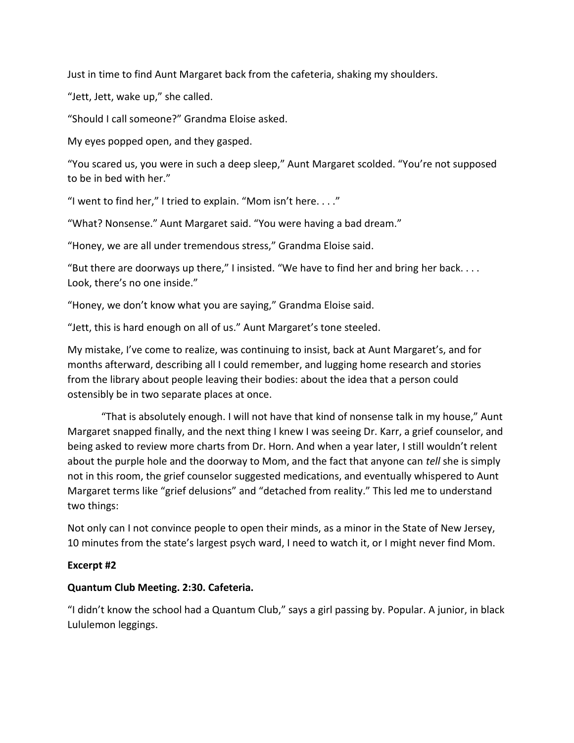Just in time to find Aunt Margaret back from the cafeteria, shaking my shoulders.

"Jett, Jett, wake up," she called.

"Should I call someone?" Grandma Eloise asked.

My eyes popped open, and they gasped.

"You scared us, you were in such a deep sleep," Aunt Margaret scolded. "You're not supposed to be in bed with her."

"I went to find her," I tried to explain. "Mom isn't here. . . ."

"What? Nonsense." Aunt Margaret said. "You were having a bad dream."

"Honey, we are all under tremendous stress," Grandma Eloise said.

"But there are doorways up there," I insisted. "We have to find her and bring her back. . . . Look, there's no one inside."

"Honey, we don't know what you are saying," Grandma Eloise said.

"Jett, this is hard enough on all of us." Aunt Margaret's tone steeled.

My mistake, I've come to realize, was continuing to insist, back at Aunt Margaret's, and for months afterward, describing all I could remember, and lugging home research and stories from the library about people leaving their bodies: about the idea that a person could ostensibly be in two separate places at once.

"That is absolutely enough. I will not have that kind of nonsense talk in my house," Aunt Margaret snapped finally, and the next thing I knew I was seeing Dr. Karr, a grief counselor, and being asked to review more charts from Dr. Horn. And when a year later, I still wouldn't relent about the purple hole and the doorway to Mom, and the fact that anyone can *tell* she is simply not in this room, the grief counselor suggested medications, and eventually whispered to Aunt Margaret terms like "grief delusions" and "detached from reality." This led me to understand two things:

Not only can I not convince people to open their minds, as a minor in the State of New Jersey, 10 minutes from the state's largest psych ward, I need to watch it, or I might never find Mom.

## **Excerpt #2**

## **Quantum Club Meeting. 2:30. Cafeteria.**

"I didn't know the school had a Quantum Club," says a girl passing by. Popular. A junior, in black Lululemon leggings.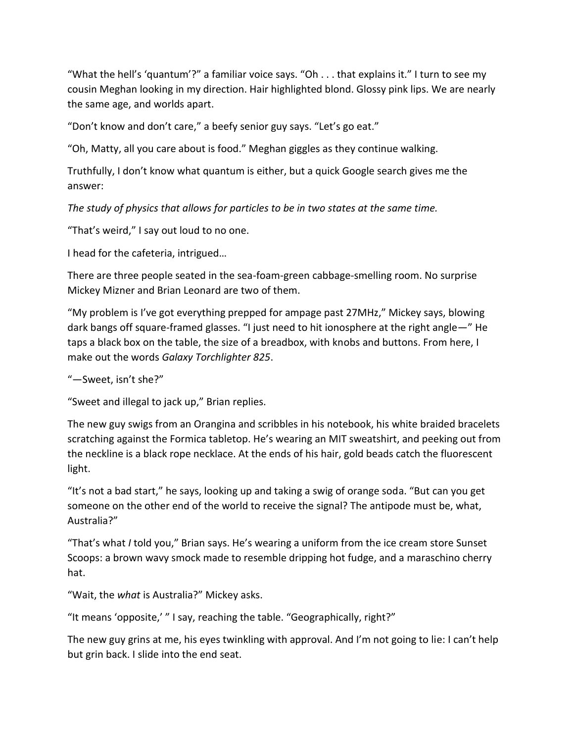"What the hell's 'quantum'?" a familiar voice says. "Oh . . . that explains it." I turn to see my cousin Meghan looking in my direction. Hair highlighted blond. Glossy pink lips. We are nearly the same age, and worlds apart.

"Don't know and don't care," a beefy senior guy says. "Let's go eat."

"Oh, Matty, all you care about is food." Meghan giggles as they continue walking.

Truthfully, I don't know what quantum is either, but a quick Google search gives me the answer:

*The study of physics that allows for particles to be in two states at the same time.* 

"That's weird," I say out loud to no one.

I head for the cafeteria, intrigued…

There are three people seated in the sea-foam-green cabbage-smelling room. No surprise Mickey Mizner and Brian Leonard are two of them.

"My problem is I've got everything prepped for ampage past 27MHz," Mickey says, blowing dark bangs off square-framed glasses. "I just need to hit ionosphere at the right angle—" He taps a black box on the table, the size of a breadbox, with knobs and buttons. From here, I make out the words *Galaxy Torchlighter 825*.

"—Sweet, isn't she?"

"Sweet and illegal to jack up," Brian replies.

The new guy swigs from an Orangina and scribbles in his notebook, his white braided bracelets scratching against the Formica tabletop. He's wearing an MIT sweatshirt, and peeking out from the neckline is a black rope necklace. At the ends of his hair, gold beads catch the fluorescent light.

"It's not a bad start," he says, looking up and taking a swig of orange soda. "But can you get someone on the other end of the world to receive the signal? The antipode must be, what, Australia?"

"That's what *I* told you," Brian says. He's wearing a uniform from the ice cream store Sunset Scoops: a brown wavy smock made to resemble dripping hot fudge, and a maraschino cherry hat.

"Wait, the *what* is Australia?" Mickey asks.

"It means 'opposite,' " I say, reaching the table. "Geographically, right?"

The new guy grins at me, his eyes twinkling with approval. And I'm not going to lie: I can't help but grin back. I slide into the end seat.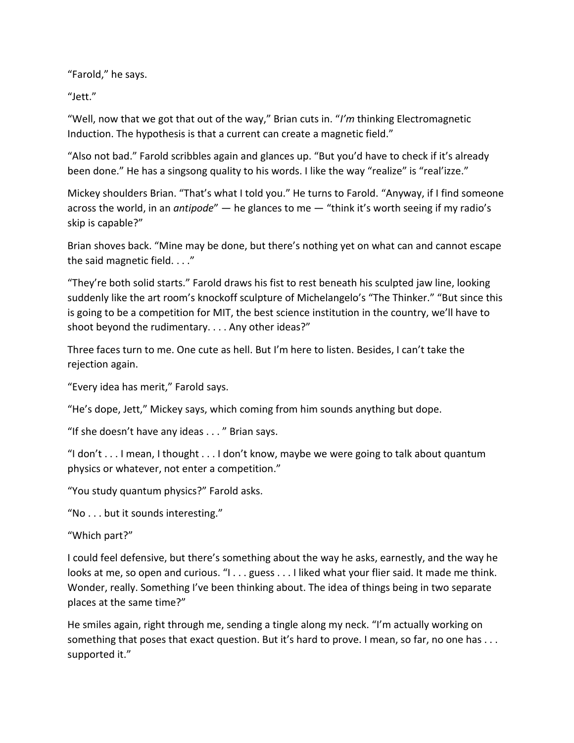"Farold," he says.

"Jett."

"Well, now that we got that out of the way," Brian cuts in. "*I'm* thinking Electromagnetic Induction. The hypothesis is that a current can create a magnetic field."

"Also not bad." Farold scribbles again and glances up. "But you'd have to check if it's already been done." He has a singsong quality to his words. I like the way "realize" is "real'izze."

Mickey shoulders Brian. "That's what I told you." He turns to Farold. "Anyway, if I find someone across the world, in an *antipode*" — he glances to me — "think it's worth seeing if my radio's skip is capable?"

Brian shoves back. "Mine may be done, but there's nothing yet on what can and cannot escape the said magnetic field. . . ."

"They're both solid starts." Farold draws his fist to rest beneath his sculpted jaw line, looking suddenly like the art room's knockoff sculpture of Michelangelo's "The Thinker." "But since this is going to be a competition for MIT, the best science institution in the country, we'll have to shoot beyond the rudimentary. . . . Any other ideas?"

Three faces turn to me. One cute as hell. But I'm here to listen. Besides, I can't take the rejection again.

"Every idea has merit," Farold says.

"He's dope, Jett," Mickey says, which coming from him sounds anything but dope.

"If she doesn't have any ideas . . . " Brian says.

"I don't . . . I mean, I thought . . . I don't know, maybe we were going to talk about quantum physics or whatever, not enter a competition."

"You study quantum physics?" Farold asks.

"No . . . but it sounds interesting."

"Which part?"

I could feel defensive, but there's something about the way he asks, earnestly, and the way he looks at me, so open and curious. "I . . . guess . . . I liked what your flier said. It made me think. Wonder, really. Something I've been thinking about. The idea of things being in two separate places at the same time?"

He smiles again, right through me, sending a tingle along my neck. "I'm actually working on something that poses that exact question. But it's hard to prove. I mean, so far, no one has ... supported it."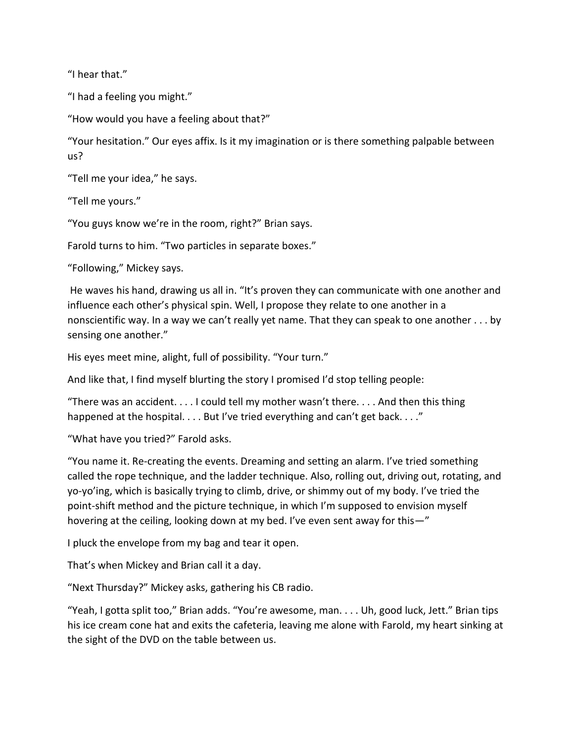"I hear that."

"I had a feeling you might."

"How would you have a feeling about that?"

"Your hesitation." Our eyes affix. Is it my imagination or is there something palpable between us?

"Tell me your idea," he says.

"Tell me yours."

"You guys know we're in the room, right?" Brian says.

Farold turns to him. "Two particles in separate boxes."

"Following," Mickey says.

He waves his hand, drawing us all in. "It's proven they can communicate with one another and influence each other's physical spin. Well, I propose they relate to one another in a nonscientific way. In a way we can't really yet name. That they can speak to one another . . . by sensing one another."

His eyes meet mine, alight, full of possibility. "Your turn."

And like that, I find myself blurting the story I promised I'd stop telling people:

"There was an accident. . . . I could tell my mother wasn't there. . . . And then this thing happened at the hospital. . . . But I've tried everything and can't get back. . . ."

"What have you tried?" Farold asks.

"You name it. Re-creating the events. Dreaming and setting an alarm. I've tried something called the rope technique, and the ladder technique. Also, rolling out, driving out, rotating, and yo-yo'ing, which is basically trying to climb, drive, or shimmy out of my body. I've tried the point-shift method and the picture technique, in which I'm supposed to envision myself hovering at the ceiling, looking down at my bed. I've even sent away for this—"

I pluck the envelope from my bag and tear it open.

That's when Mickey and Brian call it a day.

"Next Thursday?" Mickey asks, gathering his CB radio.

"Yeah, I gotta split too," Brian adds. "You're awesome, man. . . . Uh, good luck, Jett." Brian tips his ice cream cone hat and exits the cafeteria, leaving me alone with Farold, my heart sinking at the sight of the DVD on the table between us.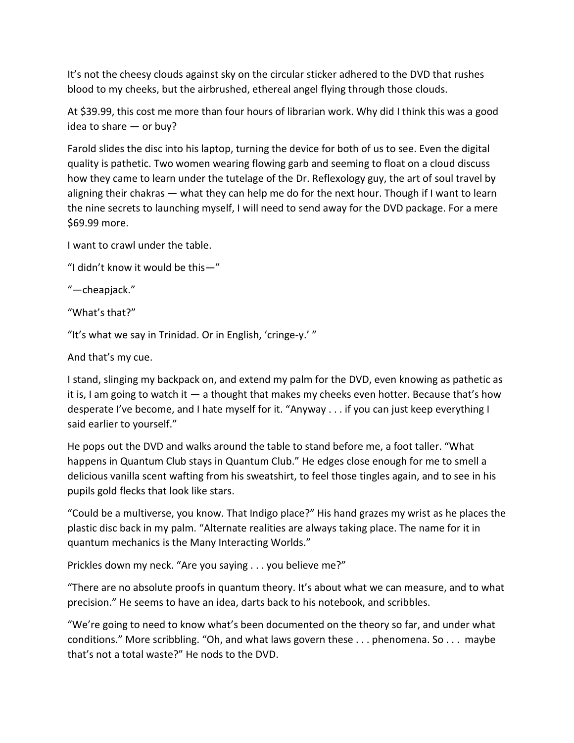It's not the cheesy clouds against sky on the circular sticker adhered to the DVD that rushes blood to my cheeks, but the airbrushed, ethereal angel flying through those clouds.

At \$39.99, this cost me more than four hours of librarian work. Why did I think this was a good idea to share — or buy?

Farold slides the disc into his laptop, turning the device for both of us to see. Even the digital quality is pathetic. Two women wearing flowing garb and seeming to float on a cloud discuss how they came to learn under the tutelage of the Dr. Reflexology guy, the art of soul travel by aligning their chakras — what they can help me do for the next hour. Though if I want to learn the nine secrets to launching myself, I will need to send away for the DVD package. For a mere \$69.99 more.

I want to crawl under the table.

"I didn't know it would be this—"

"—cheapjack."

"What's that?"

"It's what we say in Trinidad. Or in English, 'cringe-y.' "

And that's my cue.

I stand, slinging my backpack on, and extend my palm for the DVD, even knowing as pathetic as it is, I am going to watch it  $-$  a thought that makes my cheeks even hotter. Because that's how desperate I've become, and I hate myself for it. "Anyway . . . if you can just keep everything I said earlier to yourself."

He pops out the DVD and walks around the table to stand before me, a foot taller. "What happens in Quantum Club stays in Quantum Club." He edges close enough for me to smell a delicious vanilla scent wafting from his sweatshirt, to feel those tingles again, and to see in his pupils gold flecks that look like stars.

"Could be a multiverse, you know. That Indigo place?" His hand grazes my wrist as he places the plastic disc back in my palm. "Alternate realities are always taking place. The name for it in quantum mechanics is the Many Interacting Worlds."

Prickles down my neck. "Are you saying . . . you believe me?"

"There are no absolute proofs in quantum theory. It's about what we can measure, and to what precision." He seems to have an idea, darts back to his notebook, and scribbles.

"We're going to need to know what's been documented on the theory so far, and under what conditions." More scribbling. "Oh, and what laws govern these . . . phenomena. So . . . maybe that's not a total waste?" He nods to the DVD.